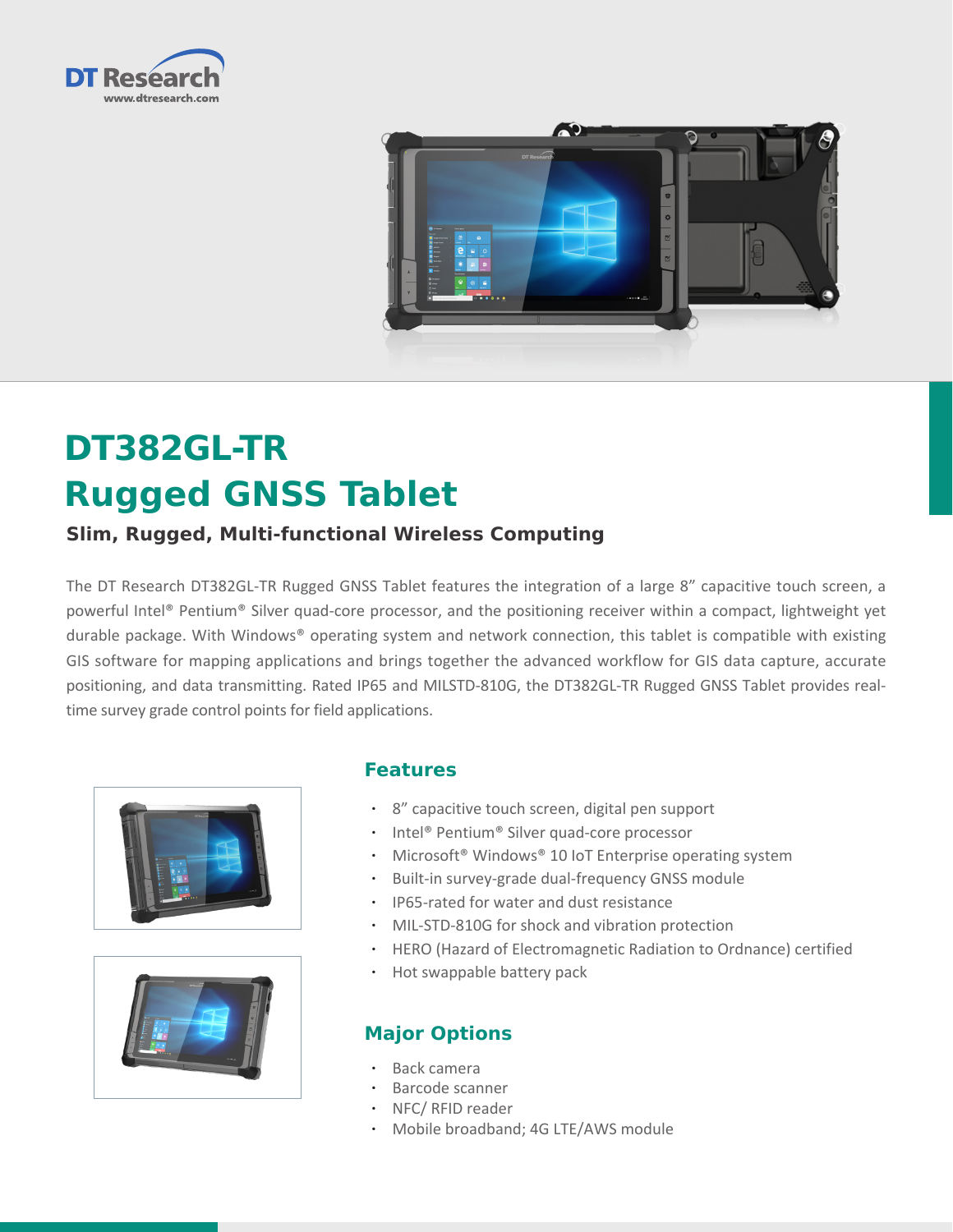



# **DT382GL-TR Rugged GNSS Tablet**

# **Slim, Rugged, Multi-functional Wireless Computing**

The DT Research DT382GL-TR Rugged GNSS Tablet features the integration of a large 8" capacitive touch screen, a powerful Intel® Pentium® Silver quad-core processor, and the positioning receiver within a compact, lightweight yet durable package. With Windows® operating system and network connection, this tablet is compatible with existing GIS software for mapping applications and brings together the advanced workflow for GIS data capture, accurate positioning, and data transmitting. Rated IP65 and MILSTD-810G, the DT382GL-TR Rugged GNSS Tablet provides realtime survey grade control points for field applications.





## **Features**

- • 8" capacitive touch screen, digital pen support
- Intel® Pentium® Silver quad-core processor
- Microsoft® Windows® 10 IoT Enterprise operating system
- • Built-in survey-grade dual-frequency GNSS module
- • IP65-rated for water and dust resistance
- MIL-STD-810G for shock and vibration protection
- • HERO (Hazard of Electromagnetic Radiation to Ordnance) certified
- Hot swappable battery pack

## **Major Options**

- Back camera
- Barcode scanner
- NFC/ RFID reader
- • Mobile broadband; 4G LTE/AWS module